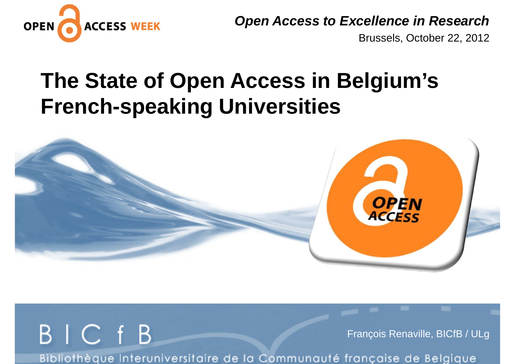

**Open Access to Excellence in Research**

Brussels, October 22, 2012

## **The State of Open Access in Belgium's French-speaking Universities**



BIC fB François Renaville, BICfB / ULgBibliothèque Interuniversitaire de la Communauté française de Belgique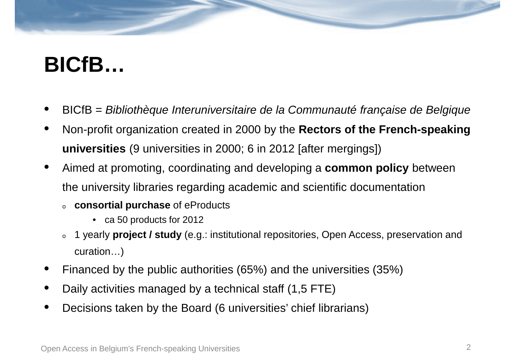## **BICfB…**

- •BICfB = Bibliothèque Interuniversitaire de la Communauté française de Belgique
- • Non-profit organization created in 2000 by the **Rectors of the French-speaking universities** (9 universities in 2000; 6 in 2012 [after mergings])
- • Aimed at promoting, coordinating and developing a **common policy** between the university libraries regarding academic and scientific documentation
	- o **consortial purchase** of eProducts
		- ca 50 products for 2012
	- o 1 yearly **project / study** (e.g.: institutional repositories, Open Access, preservation and curation…)
- •Financed by the public authorities (65%) and the universities (35%)
- •Daily activities managed by a technical staff (1,5 FTE)
- •Decisions taken by the Board (6 universities' chief librarians)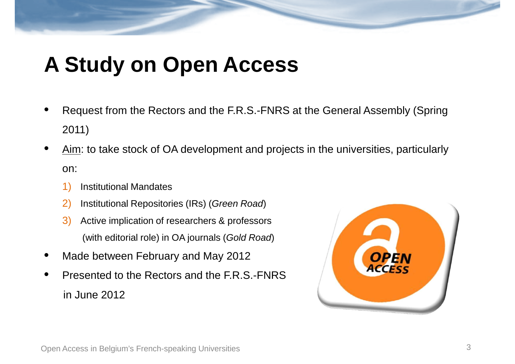# **A Study on Open Access**

- • Request from the Rectors and the F.R.S.-FNRS at the General Assembly (Spring 2011)
- •Aim: to take stock of OA development and projects in the universities, particularly on:
	- 1)Institutional Mandates
	- 2)Institutional Repositories (IRs) (Green Road)
	- 3) Active implication of researchers & professors (with editorial role) in OA journals (Gold Road)
- •Made between February and May 2012
- • Presented to the Rectors and the F.R.S.-FNRSin June 2012

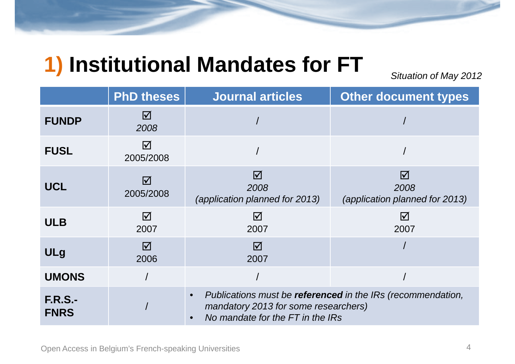#### **1) Institutional Mandates for FT**

Situation of May 2012

|                               | <b>PhD theses</b>            | <b>Journal articles</b>                                                                                                                              | <b>Other document types</b>                               |
|-------------------------------|------------------------------|------------------------------------------------------------------------------------------------------------------------------------------------------|-----------------------------------------------------------|
| <b>FUNDP</b>                  | $\boxtimes$<br>2008          |                                                                                                                                                      |                                                           |
| <b>FUSL</b>                   | $\triangledown$<br>2005/2008 |                                                                                                                                                      |                                                           |
| <b>UCL</b>                    | ☑<br>2005/2008               | $\overline{\mathsf{M}}$<br>2008<br>(application planned for 2013)                                                                                    | $\triangledown$<br>2008<br>(application planned for 2013) |
| <b>ULB</b>                    | $\Delta$<br>2007             | $\overline{\mathsf{M}}$<br>2007                                                                                                                      | $\triangledown$<br>2007                                   |
| <b>ULg</b>                    | $\boxtimes$<br>2006          | $\triangledown$<br>2007                                                                                                                              |                                                           |
| <b>UMONS</b>                  |                              |                                                                                                                                                      |                                                           |
| <b>F.R.S.-</b><br><b>FNRS</b> |                              | Publications must be referenced in the IRs (recommendation,<br>$\bullet$<br>mandatory 2013 for some researchers)<br>No mandate for the FT in the IRs |                                                           |

Open Access in Belgium's French-speaking Universities $\sim$  4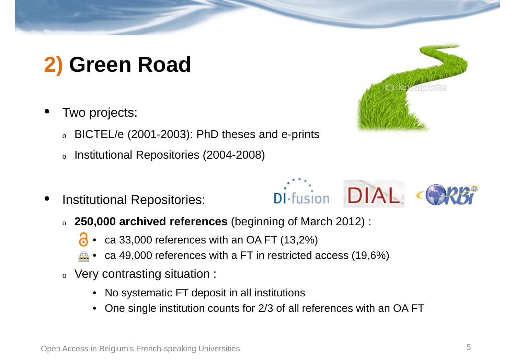## **2) Green Road**

- • Two projects:
	- oBICTEL/e (2001-2003): PhD theses and e-prints
	- oInstitutional Repositories (2004-2008)
- •Institutional Repositories:



- ca 33,000 references with an OA FT (13,2%)
- ca 49,000 references with a FT in restricted access (19,6%)
- $\,\circ\,$  Very contrasting situation :
	- $\bullet$ No systematic FT deposit in all institutions
	- •One single institution counts for 2/3 of all references with an OA FT



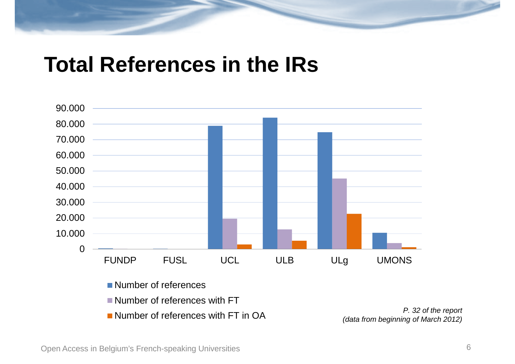#### **Total References in the IRs**



Open Access in Belgium's French-speaking Universities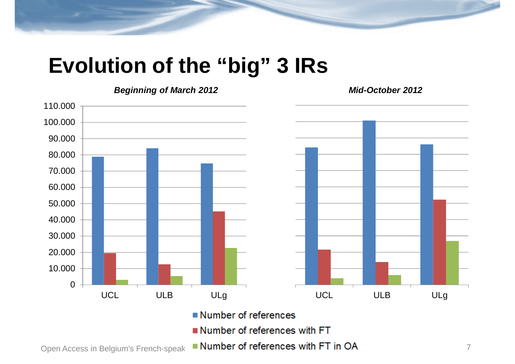#### **Evolution of the "big" 3 IRs**



**Mid-October 2012**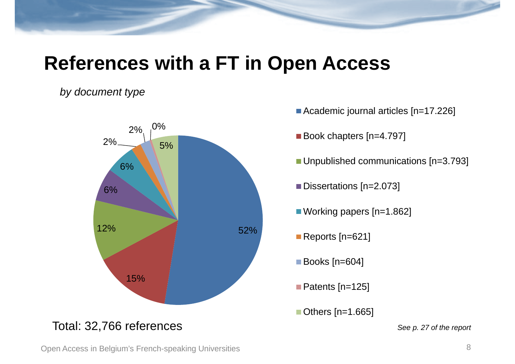#### **References with a FT in Open Access**

#### by document type



- Academic journal articles [n=17.226]
- Book chapters [n=4.797]
- Unpublished communications [n=3.793]
- Dissertations [n=2.073]
- Working papers [n=1.862]
- Reports [n=621]
- **Books** [n=604]
- Patents [n=125]
- Others [n=1.665]

See p. 27 of the report

Open Access in Belgium's French-speaking Universities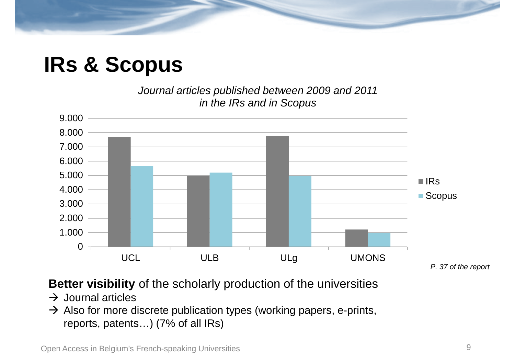## **IRs & Scopus**

Journal articles published between 2009 and 2011 in the IRs and in Scopus



#### **Better visibility** of the scholarly production of the universities

- → Journal articles<br>→ Also for more d
- Also for more discrete publication types (working papers, e-prints,<br>reports, patents,  $(7\%$  of all IRs) reports, patents…) (7% of all IRs)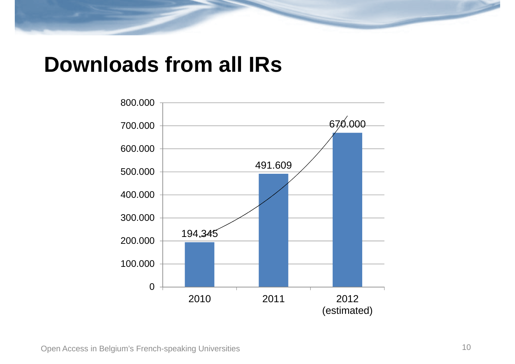#### **Downloads from all IRs**

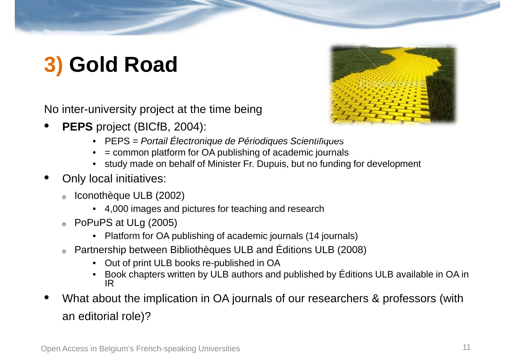## **3) Gold Road**

No inter-university project at the time being

•**PEPS** project (BICfB, 2004):



- = common platform for OA publishing of academic journals•
- study made on behalf of Minister Fr. Dupuis, but no funding for development
- • Only local initiatives:
	- o Iconothèque ULB (2002)
		- 4,000 images and pictures for teaching and research
	- o PoPuPS at ULg (2005)
		- Platform for OA publishing of academic journals (14 journals)
	- o Partnership between Bibliothèques ULB and Éditions ULB (2008)
		- •Out of print ULB books re-published in OA
		- Book chapters written by ULB authors and published by Éditions ULB available in OA in IR
- What about the implication in OA journals of our researchers & professors (with •an editorial role)?



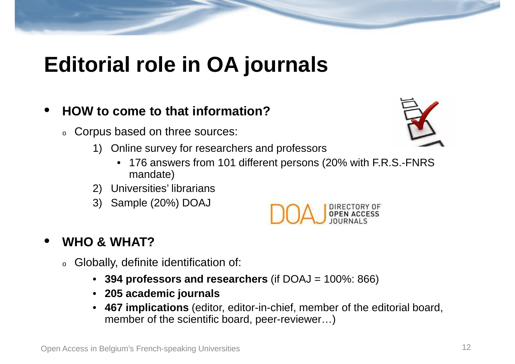## **Editorial role in OA journals**

#### •**HOW to come to that information?**

- $\circ$  Corpus based on three sources:
	- 1) Online survey for researchers and professors
		- 176 answers from 101 different persons (20% with F.R.S.-FNRS mandate)
	- 2) Universities' librarians
	- 3) Sample (20%) DOAJ



#### •**WHO & WHAT?**

- $\,\circ\,$  Globally, definite identification of:
	- **394 professors and researchers** (if DOAJ = 100%: 866)
	- **205 academic journals**
	- **467 implications** (editor, editor-in-chief, member of the editorial board,  $\bullet$ member of the scientific board, peer-reviewer…)

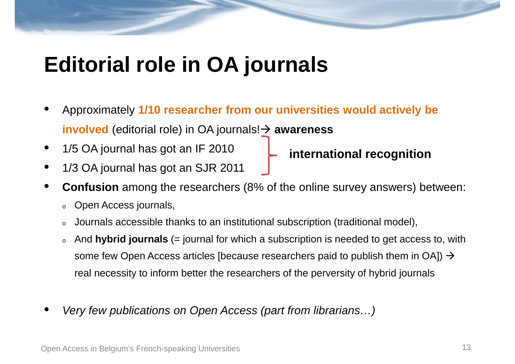#### **Editorial role in OA journals**

- • Approximately **1/10 researcher from our universities would actively be involved** (editorial role) in OA journals! - **awareness**
- • 1/5 OA journal has got an IF 2010 **international recognition**
- •1/3 OA journal has got an SJR 2011
- • **Confusion** among the researchers (8% of the online survey answers) between:
	- oOpen Access journals,
	- oJournals accessible thanks to an institutional subscription (traditional model),
	- o And **hybrid journals** (= journal for which a subscription is needed to get access to, with some few Open Access articles [because researchers paid to publish them in OA])  $\rightarrow$ real necessity to inform better the researchers of the perversity of hybrid journals
- •Very few publications on Open Access (part from librarians…)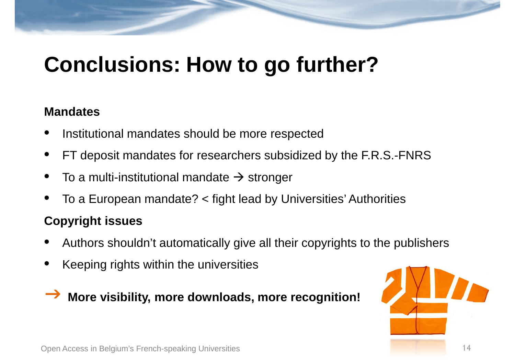## **Conclusions: How to go further?**

#### **Mandates**

- •Institutional mandates should be more respected
- •FT deposit mandates for researchers subsidized by the F.R.S.-FNRS
- •• To a multi-institutional mandate  $\rightarrow$  stronger
- •To a European mandate? < fight lead by Universities' Authorities

#### **Copyright issues**

- •Authors shouldn't automatically give all their copyrights to the publishers
- •Keeping rights within the universities

#### $\rightarrow$ **More visibility, more downloads, more recognition!**

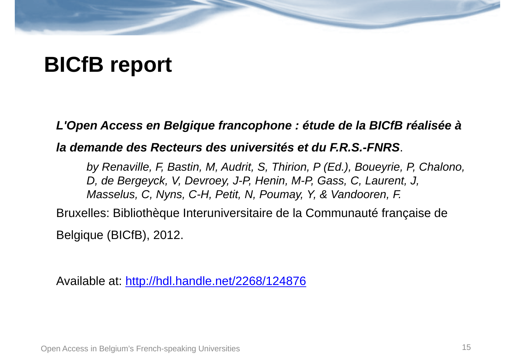## **BICfB report**

**L'Open Access en Belgique francophone : étude de la BICfB réalisée à** 

**la demande des Recteurs des universités et du F.R.S.-FNRS**.

by Renaville, F, Bastin, M, Audrit, S, Thirion, P (Ed.), Boueyrie, P, Chalono, D, de Bergeyck, V, Devroey, J-P, Henin, M-P, Gass, C, Laurent, J, Masselus, C, Nyns, C-H, Petit, N, Poumay, Y, & Vandooren, F.

Bruxelles: Bibliothèque Interuniversitaire de la Communauté française de Belgique (BICfB), 2012.

Available at: http://hdl.handle.net/2268/124876